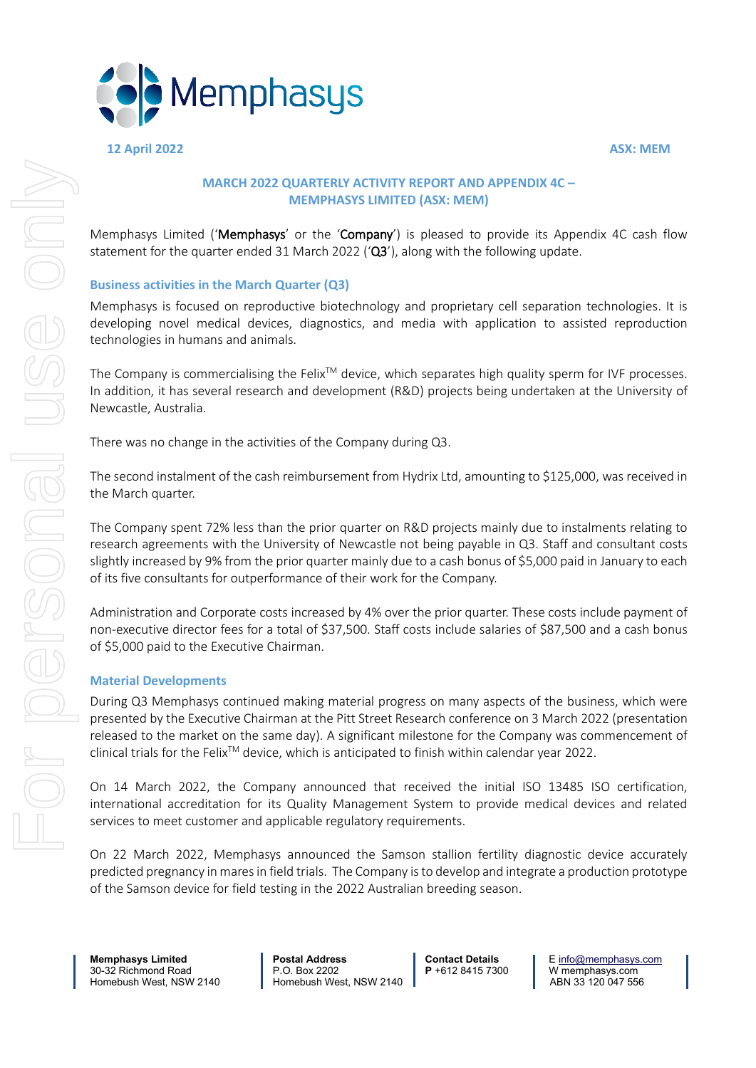

**12 April 2022 ASX: MEM**

### **MARCH 2022 QUARTERLY ACTIVITY REPORT AND APPENDIX 4C – MEMPHASYS LIMITED (ASX: MEM)**

Memphasys Limited ('Memphasys' or the 'Company') is pleased to provide its Appendix 4C cash flow statement for the quarter ended 31 March 2022 ( $\alpha$ 3'), along with the following update.

### **Business activities in the March Quarter (Q3)**

Memphasys is focused on reproductive biotechnology and proprietary cell separation technologies. It is developing novel medical devices, diagnostics, and media with application to assisted reproduction technologies in humans and animals.

The Company is commercialising the Felix<sup>TM</sup> device, which separates high quality sperm for IVF processes. In addition, it has several research and development (R&D) projects being undertaken at the University of Newcastle, Australia.

There was no change in the activities of the Company during Q3.

The second instalment of the cash reimbursement from Hydrix Ltd, amounting to \$125,000, was received in the March quarter.

The Company spent 72% less than the prior quarter on R&D projects mainly due to instalments relating to research agreements with the University of Newcastle not being payable in Q3. Staff and consultant costs slightly increased by 9% from the prior quarter mainly due to a cash bonus of \$5,000 paid in January to each of its five consultants for outperformance of their work for the Company.

Administration and Corporate costs increased by 4% over the prior quarter. These costs include payment of non-executive director fees for a total of \$37,500. Staff costs include salaries of \$87,500 and a cash bonus of \$5,000 paid to the Executive Chairman.

### **Material Developments**

During Q3 Memphasys continued making material progress on many aspects of the business, which were presented by the Executive Chairman at the Pitt Street Research conference on 3 March 2022 (presentation released to the market on the same day). A significant milestone for the Company was commencement of clinical trials for the FelixTM device, which is anticipated to finish within calendar year 2022.

On 14 March 2022, the Company announced that received the initial ISO 13485 ISO certification, international accreditation for its Quality Management System to provide medical devices and related services to meet customer and applicable regulatory requirements.

On 22 March 2022, Memphasys announced the Samson stallion fertility diagnostic device accurately predicted pregnancy in mares in field trials. The Company is to develop and integrate a production prototype of the Samson device for field testing in the 2022 Australian breeding season.

30-32 Richmond Road P.O. Box 2202 **P** +612 8415 7300 W memphasys.com

**Memphasys Limited Postal Address Contact Details** E <u>info@memphasys.com</u><br>30-32 Richmond Road P.O. Box 2202 P+612 8415 7300 W memphasys.com Homebush West, NSW 2140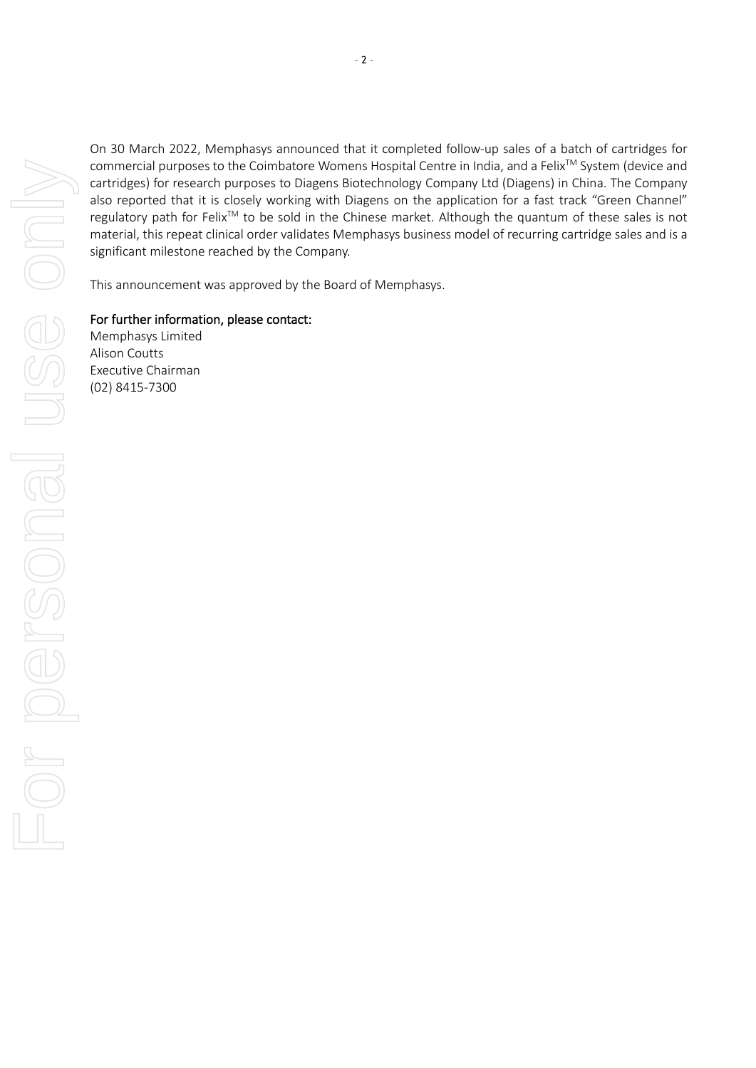On 30 March 2022, Memphasys announced that it completed follow-up sales of a batch of cartridges for commercial purposes to the Coimbatore Womens Hospital Centre in India, and a Felix<sup>™</sup> System (device and cartridges) for research purposes to Diagens Biotechnology Company Ltd (Diagens) in China. The Company also reported that it is closely working with Diagens on the application for a fast track "Green Channel" regulatory path for Felix<sup>™</sup> to be sold in the Chinese market. Although the quantum of these sales is not material, this repeat clinical order validates Memphasys business model of recurring cartridge sales and is a significant milestone reached by the Company.

This announcement was approved by the Board of Memphasys.

For further information, please contact:

Memphasys Limited Alison Coutts Executive Chairman (02) 8415-7300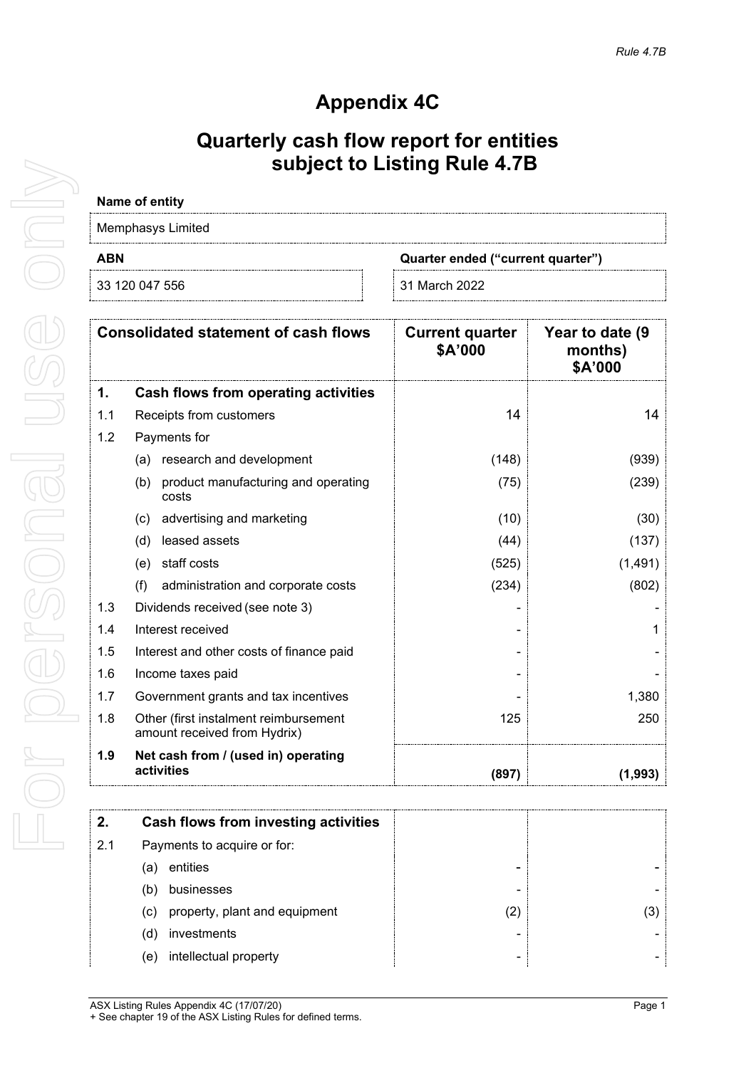## **Appendix 4C**

### **Quarterly cash flow report for entities subject to Listing Rule 4.7B**

# **Name of entity**

| Memphasys Limited |                                   |  |
|-------------------|-----------------------------------|--|
| <b>ABN</b>        | Quarter ended ("current quarter") |  |
| 33 120 047 556    | ⊟31 March 2022                    |  |

|     | <b>Consolidated statement of cash flows</b>                           | <b>Current quarter</b><br>\$A'000 | Year to date (9<br>months)<br>\$A'000 |
|-----|-----------------------------------------------------------------------|-----------------------------------|---------------------------------------|
| 1.  | <b>Cash flows from operating activities</b>                           |                                   |                                       |
| 1.1 | Receipts from customers                                               | 14                                | 14                                    |
| 1.2 | Payments for                                                          |                                   |                                       |
|     | research and development<br>(a)                                       | (148)                             | (939)                                 |
|     | (b)<br>product manufacturing and operating<br>costs                   | (75)                              | (239)                                 |
|     | advertising and marketing<br>(c)                                      | (10)                              | (30)                                  |
|     | leased assets<br>(d)                                                  | (44)                              | (137)                                 |
|     | staff costs<br>(e)                                                    | (525)                             | (1, 491)                              |
|     | (f)<br>administration and corporate costs                             | (234)                             | (802)                                 |
| 1.3 | Dividends received (see note 3)                                       |                                   |                                       |
| 1.4 | Interest received                                                     |                                   |                                       |
| 1.5 | Interest and other costs of finance paid                              |                                   |                                       |
| 1.6 | Income taxes paid                                                     |                                   |                                       |
| 1.7 | Government grants and tax incentives                                  |                                   | 1,380                                 |
| 1.8 | Other (first instalment reimbursement<br>amount received from Hydrix) | 125                               | 250                                   |
| 1.9 | Net cash from / (used in) operating<br>activities                     | (897)                             | (1,993)                               |

| 2.  | Cash flows from investing activities |   |     |
|-----|--------------------------------------|---|-----|
| 2.1 | Payments to acquire or for:          |   |     |
|     | entities<br>'a                       |   |     |
|     | businesses<br>(b                     |   |     |
|     | property, plant and equipment<br>(C) | 2 | (3) |
|     | investments<br>(ď                    |   |     |
|     | intellectual property<br>e)          | - |     |

ASX Listing Rules Appendix 4C (17/07/20) **Page 1** + See chapter 19 of the ASX Listing Rules for defined terms.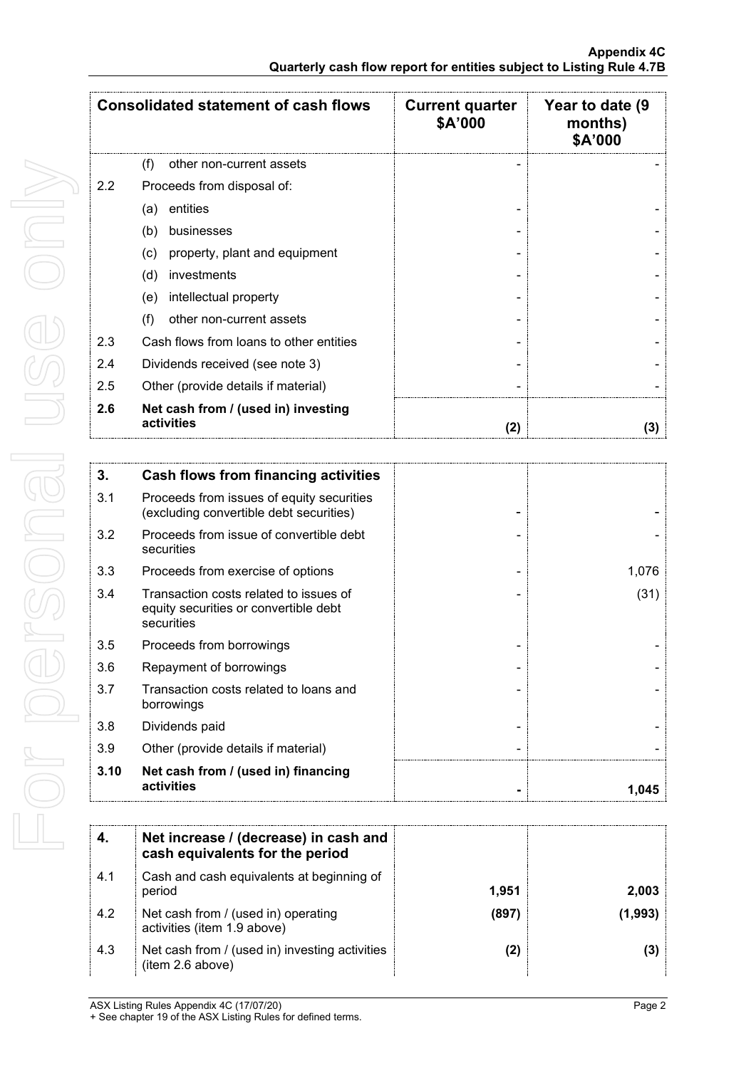|     | <b>Consolidated statement of cash flows</b>        | <b>Current quarter</b><br>\$A'000 | Year to date (9<br>months)<br>\$A'000 |
|-----|----------------------------------------------------|-----------------------------------|---------------------------------------|
|     | (f)<br>other non-current assets                    |                                   |                                       |
| 2.2 | Proceeds from disposal of:                         |                                   |                                       |
|     | entities<br>(a)                                    |                                   |                                       |
|     | (b)<br>businesses                                  |                                   |                                       |
|     | property, plant and equipment<br>$\left( c\right)$ |                                   |                                       |
|     | investments<br>(d)                                 |                                   |                                       |
|     | intellectual property<br>(e)                       |                                   |                                       |
|     | (f)<br>other non-current assets                    |                                   |                                       |
| 2.3 | Cash flows from loans to other entities            |                                   |                                       |
| 2.4 | Dividends received (see note 3)                    |                                   |                                       |
| 2.5 | Other (provide details if material)                |                                   |                                       |
| 2.6 | Net cash from / (used in) investing<br>activities  | (2)                               | (3)                                   |

| 3.   | <b>Cash flows from financing activities</b>                                                   |       |
|------|-----------------------------------------------------------------------------------------------|-------|
| 3.1  | Proceeds from issues of equity securities<br>(excluding convertible debt securities)          |       |
| 3.2  | Proceeds from issue of convertible debt<br>securities                                         |       |
| 3.3  | Proceeds from exercise of options                                                             | 1,076 |
| 3.4  | Transaction costs related to issues of<br>equity securities or convertible debt<br>securities | (31)  |
| 3.5  | Proceeds from borrowings                                                                      |       |
| 3.6  | Repayment of borrowings                                                                       |       |
| 3.7  | Transaction costs related to loans and<br>borrowings                                          |       |
| 3.8  | Dividends paid                                                                                |       |
| 3.9  | Other (provide details if material)                                                           |       |
| 3.10 | Net cash from / (used in) financing<br>activities                                             | 1,045 |

|     | Net increase / (decrease) in cash and<br>cash equivalents for the period |       |       |
|-----|--------------------------------------------------------------------------|-------|-------|
| 4.1 | Cash and cash equivalents at beginning of<br>period                      | 1.951 | 2.003 |
| 4.2 | Net cash from / (used in) operating<br>activities (item 1.9 above)       | (897) |       |
| 4.3 | Net cash from / (used in) investing activities<br>(item 2.6 above)       | (2)   |       |

For personal use only For personal use only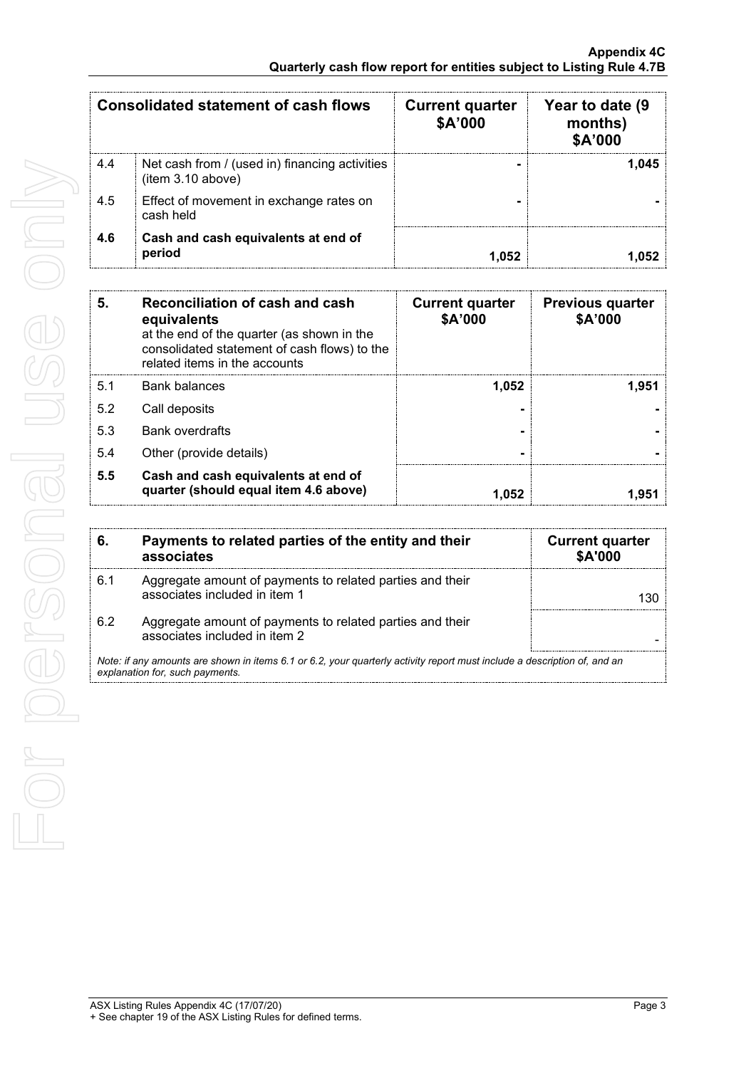|     | Consolidated statement of cash flows                                | <b>Current quarter</b><br>\$A'000 | Year to date (9<br>months)<br>\$A'000 |
|-----|---------------------------------------------------------------------|-----------------------------------|---------------------------------------|
| 4.4 | Net cash from / (used in) financing activities<br>(item 3.10 above) |                                   | 1.045                                 |
| 4.5 | Effect of movement in exchange rates on<br>cash held                |                                   |                                       |
| 4.6 | Cash and cash equivalents at end of<br>period                       |                                   |                                       |

| 5.  | Reconciliation of cash and cash<br>equivalents<br>at the end of the quarter (as shown in the<br>consolidated statement of cash flows) to the<br>related items in the accounts | <b>Current quarter</b><br>\$A'000 | <b>Previous quarter</b><br>\$A'000 |
|-----|-------------------------------------------------------------------------------------------------------------------------------------------------------------------------------|-----------------------------------|------------------------------------|
| 5.1 | Bank balances                                                                                                                                                                 | 1,052                             | 1.951                              |
| 5.2 | Call deposits                                                                                                                                                                 |                                   |                                    |
| 5.3 | <b>Bank overdrafts</b>                                                                                                                                                        |                                   |                                    |
| 5.4 | Other (provide details)                                                                                                                                                       |                                   |                                    |
| 5.5 | Cash and cash equivalents at end of<br>quarter (should equal item 4.6 above)                                                                                                  | 1.052                             |                                    |

| 6.  | Payments to related parties of the entity and their<br>associates                                                                                           | <b>Current quarter</b><br><b>\$A'000</b> |
|-----|-------------------------------------------------------------------------------------------------------------------------------------------------------------|------------------------------------------|
| 6.1 | Aggregate amount of payments to related parties and their<br>associates included in item 1                                                                  |                                          |
| 6.2 | Aggregate amount of payments to related parties and their<br>associates included in item 2                                                                  |                                          |
|     | Note: if any amounts are shown in items 6.1 or 6.2, your quarterly activity report must include a description of, and an<br>explanation for, such payments. |                                          |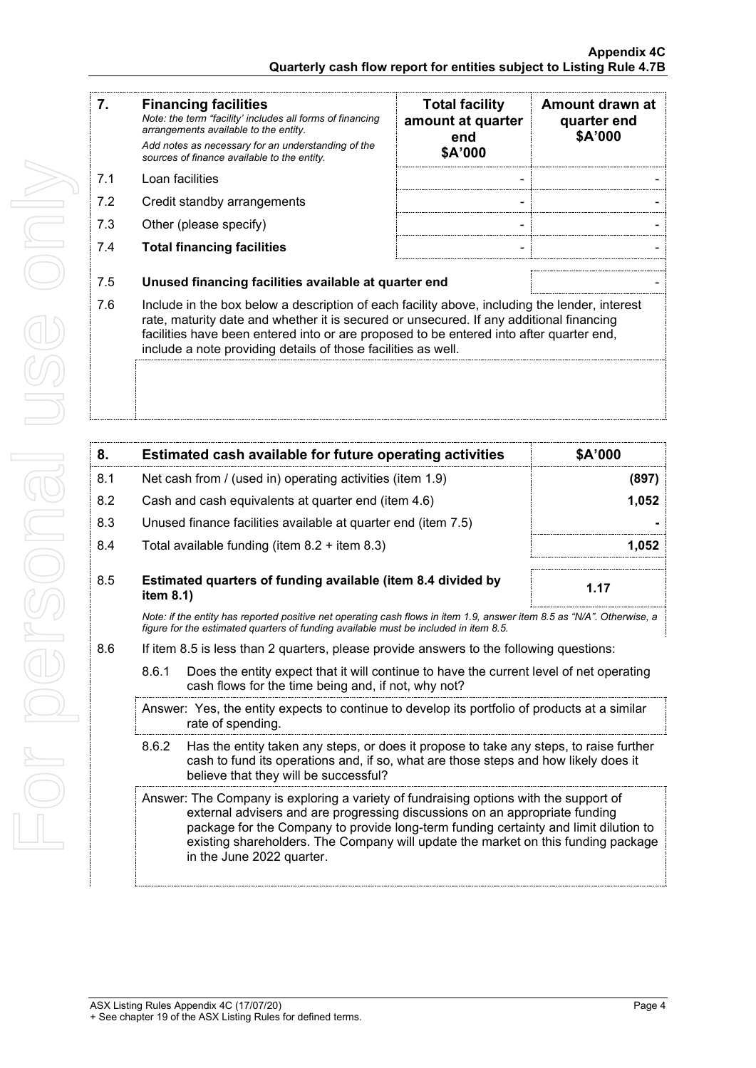| 7.  | <b>Financing facilities</b><br>Note: the term "facility' includes all forms of financing<br>arrangements available to the entity.                                                                                                                                                                                                                    | <b>Total facility</b><br>amount at quarter<br>end<br>\$A'000 | Amount drawn at<br>quarter end<br>\$A'000 |
|-----|------------------------------------------------------------------------------------------------------------------------------------------------------------------------------------------------------------------------------------------------------------------------------------------------------------------------------------------------------|--------------------------------------------------------------|-------------------------------------------|
|     | Add notes as necessary for an understanding of the<br>sources of finance available to the entity.                                                                                                                                                                                                                                                    |                                                              |                                           |
| 7.1 | Loan facilities                                                                                                                                                                                                                                                                                                                                      | ٠                                                            |                                           |
| 7.2 | Credit standby arrangements                                                                                                                                                                                                                                                                                                                          |                                                              |                                           |
| 7.3 | Other (please specify)                                                                                                                                                                                                                                                                                                                               | ٠                                                            |                                           |
| 7.4 | <b>Total financing facilities</b>                                                                                                                                                                                                                                                                                                                    |                                                              |                                           |
| 7.5 | Unused financing facilities available at quarter end                                                                                                                                                                                                                                                                                                 |                                                              |                                           |
| 7.6 | Include in the box below a description of each facility above, including the lender, interest<br>rate, maturity date and whether it is secured or unsecured. If any additional financing<br>facilities have been entered into or are proposed to be entered into after quarter end,<br>include a note providing details of those facilities as well. |                                                              |                                           |

| 8.  | Estimated cash available for future operating activities                                                                                                                                                       | <b>SA'000</b> |
|-----|----------------------------------------------------------------------------------------------------------------------------------------------------------------------------------------------------------------|---------------|
| 8.1 | Net cash from / (used in) operating activities (item 1.9)                                                                                                                                                      | (897)         |
| 8.2 | Cash and cash equivalents at quarter end (item 4.6)                                                                                                                                                            | 1,052         |
| 8.3 | Unused finance facilities available at quarter end (item 7.5)                                                                                                                                                  |               |
| 8.4 | Total available funding (item $8.2 +$ item $8.3$ )                                                                                                                                                             | 1.052         |
| 8.5 | Estimated quarters of funding available (item 8.4 divided by<br>item $8.1$ )                                                                                                                                   | 1.17          |
|     | Note: if the entity has reported positive net operating cash flows in item 1.9, answer item 8.5 as "N/A". Otherwise, a<br>figure for the estimated guarters of funding available must be included in item 8.5. |               |
| 8.6 | If item 8.5 is less than 2 quarters, please provide answers to the following questions:                                                                                                                        |               |
|     | Does the entity expect that it will continue to have the current level of net operating<br>8.6.1<br>cash flows for the time being and, if not, why not?                                                        |               |

- Answer: Yes, the entity expects to continue to develop its portfolio of products at a similar rate of spending.
- 8.6.2 Has the entity taken any steps, or does it propose to take any steps, to raise further cash to fund its operations and, if so, what are those steps and how likely does it believe that they will be successful?
- Answer: The Company is exploring a variety of fundraising options with the support of external advisers and are progressing discussions on an appropriate funding package for the Company to provide long-term funding certainty and limit dilution to existing shareholders. The Company will update the market on this funding package in the June 2022 quarter.